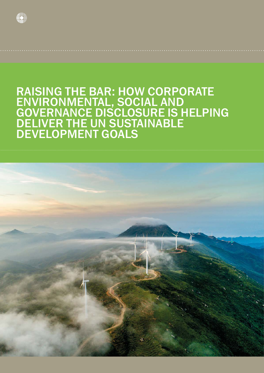

# RAISING THE BAR: HOW CORPORATE ENVIRONMENTAL, SOCIAL AND GOVERNANCE DISCLOSURE IS HELPING DELIVER THE UN SUSTAINABLE DEVELOPMENT GOALS

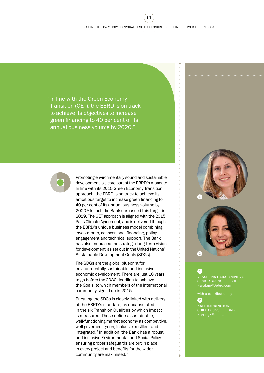"In line with the Green Economy Transition (GET), the EBRD is on track to achieve its objectives to increase green financing to 40 per cent of its annual business volume by 2020."



Promoting environmentally sound and sustainable development is a core part of the EBRD's mandate. In line with its 2015 Green Economy Transition approach, the EBRD is on track to achieve its ambitious target to increase green financing to 40 per cent of its annual business volume by 2020.<sup>1</sup> In fact, the Bank surpassed this target in 2019. The GET approach is aligned with the 2015 Paris Climate Agreement, and is delivered through the EBRD's unique business model combining investments, concessional financing, policy engagement and technical support. The Bank has also embraced the strategic long-term vision for development, as set out in the United Nations' Sustainable Development Goals (SDGs).

The SDGs are the global blueprint for environmentally sustainable and inclusive economic development. There are just 10 years to go before the 2030 deadline to achieve the Goals, to which members of the international community signed up in 2015.

Pursuing the SDGs is closely linked with delivery of the EBRD's mandate, as encapsulated in the six Transition Qualities by which impact is measured. These define a sustainable, well-functioning market economy as competitive, well governed, green, inclusive, resilient and integrated.2 In addition, the Bank has a robust and inclusive Environmental and Social Policy ensuring proper safeguards are put in place in every project and benefits for the wider community are maximised.3





## 1

VESSELINA HARALAMPIEVA SENIOR COUNSEL, EBRD HaralamV@ebrd.com

with a contribution by

## 2

KATE HARRINGTON HarringK@ebrd.com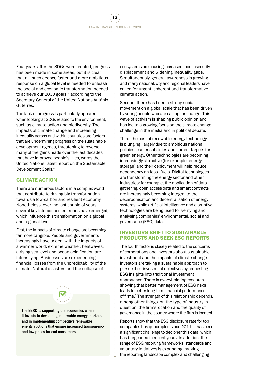LAW IN TRANSITION JOURNAL 2020 12

Four years after the SDGs were created, progress has been made in some areas, but it is clear that a "much deeper, faster and more ambitious response on a global level is needed to unleash the social and economic transformation needed to achieve our 2030 goals," according to the Secretary-General of the United Nations António Guterres.

The lack of progress is particularly apparent when looking at SDGs related to the environment, such as climate action and biodiversity. The impacts of climate change and increasing inequality across and within countries are factors that are undermining progress on the sustainable development agenda, threatening to reverse many of the gains made over the last decades that have improved people's lives, warns the United Nations' latest report on the Sustainable Development Goals.4

## CLIMATE ACTION

There are numerous factors in a complex world that contribute to driving big transformation towards a low-carbon and resilient economy. Nonetheless, over the last couple of years, several key interconnected trends have emerged, which influence this transformation on a global and regional level.

First, the impacts of climate change are becoming far more tangible. People and governments increasingly have to deal with the impacts of a warmer world: extreme weather, heatwaves, a rising sea level and ocean acidification are intensifying. Businesses are experiencing financial losses from the unpredictability of the climate. Natural disasters and the collapse of



The EBRD is supporting the economies where it invests in developing renewable energy markets and in implementing competitive renewable energy auctions that ensure increased transparency and low prices for end consumers.

ecosystems are causing increased food insecurity, displacement and widening inequality gaps. Simultaneously, general awareness is growing and many national, city and regional leaders have called for urgent, coherent and transformative climate action.

Second, there has been a strong social movement on a global scale that has been driven by young people who are calling for change. This wave of activism is shaping public opinion and has led to a growing focus on the climate change challenge in the media and in political debate.

Third, the cost of renewable energy technology is plunging, largely due to ambitious national policies, earlier subsidies and current targets for green energy. Other technologies are becoming increasingly attractive (for example, energy storage) and their deployment will help reduce dependency on fossil fuels. Digital technologies are transforming the energy sector and other industries: for example, the application of data gathering, open access data and smart contracts are increasingly becoming integral to the decarbonisation and decentralisation of energy systems, while artificial intelligence and disruptive technologies are being used for verifying and analysing companies' environmental, social and governance (ESG) data.

#### INVESTORS SHIFT TO SUSTAINABLE PRODUCTS AND SEEK ESG REPORTS

The fourth factor is closely related to the concerns of corporations and investors about sustainable investment and the impacts of climate change. Investors are taking a sustainable approach to pursue their investment objectives by requesting ESG insights into traditional investment approaches. There is overwhelming research showing that better management of ESG risks leads to better long-term financial performance of firms.<sup>5</sup> The strength of this relationship depends, among other things, on the type of industry in question, the firm's location and the quality of governance in the country where the firm is located.

Reports show that the ESG disclosure rate for top companies has quadrupled since 2011. It has been a significant challenge to decipher this data, which has burgeoned in recent years. In addition, the range of ESG reporting frameworks, standards and voluntary initiatives is expanding, making the reporting landscape complex and challenging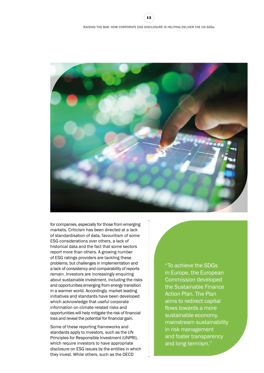## RAISING THE BAR: HOW CORPORATE ESG DISCLOSURE IS HELPING DELIVER THE UN SDGs 13



for companies, especially for those from emerging markets. Criticism has been directed at a lack of standardisation of data, favouritism of some ESG considerations over others, a lack of historical data and the fact that some sectors report more than others. A growing number of ESG ratings providers are tackling these problems, but challenges in implementation and a lack of consistency and comparability of reports remain. Investors are increasingly enquiring about sustainable investment, including the risks and opportunities emerging from energy transition in a warmer world. Accordingly, market-leading initiatives and standards have been developed which acknowledge that useful corporate information on climate-related risks and opportunities will help mitigate the risk of financial loss and reveal the potential for financial gain.

Some of these reporting frameworks and standards apply to investors, such as the UN Principles for Responsible Investment (UNPRI), which require investors to have appropriate disclosure on ESG issues by the entities in which they invest. While others, such as the OECD

"To achieve the SDGs in Europe, the European Commission developed the Sustainable Finance Action Plan. The Plan aims to redirect capital flows towards a more sustainable economy, mainstream sustainability in risk management and foster transparency and long-termism."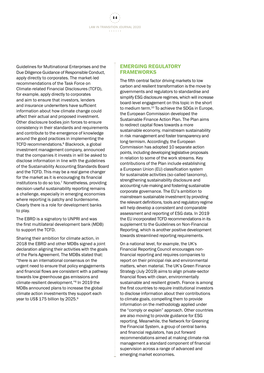LAW IN TRANSITION JOURNAL 2020 14

Guidelines for Multinational Enterprises and the Due Diligence Guidance of Responsible Conduct, apply directly to corporates. The market-led recommendations of the Task Force on Climate-related Financial Disclosures (TCFD), for example, apply directly to corporates and aim to ensure that investors, lenders and insurance underwriters have sufficient information about how climate change could affect their actual and proposed investment. Other disclosure bodies join forces to ensure consistency in their standards and requirements and contribute to the emergence of knowledge around the good practices in implementing the TCFD recommendations.<sup>6</sup> Blackrock, a global investment management company, announced that the companies it invests in will be asked to disclose information in line with the guidelines of the Sustainability Accounting Standards Board and the TCFD. This may be a real game changer for the market as it is encouraging its financial institutions to do so too.7 Nonetheless, providing decision-useful sustainability reporting remains a challenge, especially in emerging economies where reporting is patchy and burdensome. Clearly there is a role for development banks to play.

The EBRD is a signatory to UNPRI and was the first multilateral development bank (MDB) to support the TCFD.

Sharing their ambition for climate action, in 2018 the EBRD and other MDBs signed a joint declaration aligning their activities with the goals of the Paris Agreement. The MDBs stated that: "there is an international consensus on the urgent need to ensure that policy engagements and financial flows are consistent with a pathway towards low greenhouse gas emissions and climate-resilient development."8 In 2019 the MDBs announced plans to increase the global climate action investments they support each year to US\$ 175 billion by 2025.<sup>9</sup>

#### EMERGING REGULATORY FRAMEWORKS

The fifth central factor driving markets to low carbon and resilient transformation is the move by governments and regulators to standardise and simplify ESG disclosure regimes, which will increase board-level engagement on this topic in the short to medium term.10 To achieve the SDGs in Europe, the European Commission developed the Sustainable Finance Action Plan. The Plan aims to redirect capital flows towards a more sustainable economy, mainstream sustainability in risk management and foster transparency and long-termism. Accordingly, the European Commission has adopted 10 separate action points, including developing legislative proposals in relation to some of the work streams. Key contributions of the Plan include establishing a European Union (EU) classification system for sustainable activities (so-called taxonomy), strengthening sustainability disclosure and accounting rule-making and fostering sustainable corporate governance. The EU's ambition to mainstream sustainable investment by providing the relevant definitions, tools and regulatory regime will help develop a consistent and comparable assessment and reporting of ESG data. In 2019 the EU incorporated TCFD recommendations in its supplement to the Guidelines on Non-Financial Reporting, which is another positive development towards streamlined reporting requirements.

On a national level, for example, the UK's Financial Reporting Council encourages nonfinancial reporting and requires companies to report on their principal risk and environmental matters, when material. The UK's Green Finance Strategy (July 2019) aims to align private-sector financial flows with clean, environmentally sustainable and resilient growth. France is among the first countries to require institutional investors to disclose information about their contributions to climate goals, compelling them to provide information on the methodology applied under the "comply or explain" approach. Other countries are also moving to provide guidance for ESG reporting. Meanwhile, the Network for Greening the Financial System, a group of central banks and financial regulators, has put forward recommendations aimed at making climate risk management a standard component of financial supervision across a range of advanced and emerging market economies.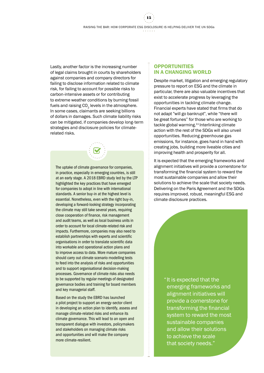15

Lastly, another factor is the increasing number of legal claims brought in courts by shareholders against companies and company directors for failing to disclose information related to climate risk, for failing to account for possible risks to carbon-intensive assets or for contributing to extreme weather conditions by burning fossil fuels and raising CO<sub>2</sub> levels in the atmosphere. In some cases, claimants are seeking billions of dollars in damages. Such climate liability risks can be mitigated, if companies develop long-term strategies and disclosure policies for climaterelated risks.

The uptake of climate governance for companies, in practice, especially in emerging countries, is still at an early stage. [A 2018 EBRD study led by the LTP](https://2019.lit-ebrd.com/articles/)  highlighted the key practices that have emerged for companies to adopt in line with international standards. A senior buy-in at the highest level is essential. Nonetheless, even with the right buy-in, developing a forward-looking strategy incorporating the climate may still take several years, requiring close cooperation of finance, risk management and audit teams, as well as local business units in order to account for local climate-related risk and impacts. Furthermore, companies may also need to establish partnerships with experts and scientific organisations in order to translate scientific data into workable and operational action plans and to improve access to data. More mature companies should carry out climate scenario modelling tests to feed into the analysis of risks and opportunities and to support organisational decision-making processes. Governance of climate risks also needs to be supported by regular meetings of designated governance bodies and training for board members and key managerial staff.

Based on the study the EBRD has launched a pilot project to support an energy-sector client in developing an action plan to identify, assess and manage climate-related risks and enhance its climate governance. This will lead to an open and transparent dialogue with investors, policymakers and stakeholders on managing climate risks and opportunities and will make the company more climate-resilient.

## **OPPORTUNITIES** IN A CHANGING WORLD

Despite market, litigation and emerging regulatory pressure to report on ESG and the climate in particular, there are also valuable incentives that exist to accelerate progress by leveraging the opportunities in tackling climate change. Financial experts have stated that firms that do not adapt "will go bankrupt", while "there will be great fortunes" for those who are working to tackle global warming.<sup>11</sup> Interlinking climate action with the rest of the SDGs will also unveil opportunities. Reducing greenhouse gas emissions, for instance, goes hand in hand with creating jobs, building more liveable cities and improving health and prosperity for all.

It is expected that the emerging frameworks and alignment initiatives will provide a cornerstone for transforming the financial system to reward the most sustainable companies and allow their solutions to achieve the scale that society needs. Delivering on the Paris Agreement and the SDGs requires improved, robust, meaningful ESG and climate disclosure practices.

> "It is expected that the emerging frameworks and alignment initiatives will provide a cornerstone for transforming the financial system to reward the most sustainable companies and allow their solutions to achieve the scale that society needs."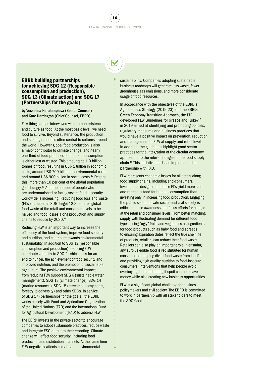



### EBRD building partnerships for achieving SDG 12 (Responsible consumption and production), SDG 13 (Climate action) and SDG 17 (Partnerships for the goals)

by Vesselina Haralampieva (Senior Counsel) and Kate Harrington (Chief Counsel, EBRD)

Few things are as interwoven with human existence and culture as food. At the most basic level, we need food to survive. Beyond sustenance, the production and sharing of food is often central to cultures around the world. However global food production is also a major contributor to climate change, and nearly one-third of food produced for human consumption is either lost or wasted. This amounts to 1.3 billion tonnes of food, resulting in US\$ 1 trillion in economic costs, around US\$ 700 billion in environmental costs and around US\$ 900 billion in social costs.12 Despite this, more than 10 per cent of the global population goes hungry.13 And the number of people who are undernourished or facing severe food insecurity worldwide is increasing. Reducing food loss and waste (FLW) included in SDG Target 12.3 requires global food waste at the retail and consumer levels to be halved and food losses along production and supply chains to reduce by 2030.14

Reducing FLW is an important way to increase the efficiency of the food system, improve food security and nutrition, and contribute towards environmental sustainability. In addition to SDG 12 (responsible consumption and production), reducing FLW contributes directly to SDG 2, which calls for an end to hunger, the achievement of food security and improved nutrition, and the promotion of sustainable agriculture. The positive environmental impacts from reducing FLW support SDG 6 (sustainable water management), SDG 13 (climate change), SDG 14 (marine resources), SDG 15 (terrestrial ecosystems, forestry, biodiversity) and other SDGs. In service of SDG 17 (partnerships for the goals), the EBRD works closely with Food and Agriculture Organization of the United Nations (FAO) and the International Fund for Agricultural Development (IFAD) to address FLW.

The EBRD invests in the private sector to encourage companies to adopt sustainable practices, reduce waste and integrate ESG data into their reporting. Climate change will affect food security, including food production and distribution channels. At the same time FLW negatively affects climate and environmental

sustainability. Companies adopting sustainable business roadmaps will generate less waste, fewer greenhouse gas emissions, and more considerate usage of food resources.

In accordance with the objectives of the EBRD's Agribusiness Strategy (2019-23) and the EBRD's Green Economy Transition Approach, the LTP developed FLW Guidelines for Greece and Turkey<sup>15</sup> in 2019 aimed at identifying and promoting policies, regulatory measures and business practices that would have a positive impact on prevention, reduction and management of FLW at supply and retail levels. In addition, the guidelines highlight good sector practices for the integration of the circular economy approach into the relevant stages of the food supply chain.16 This initiative has been implemented in partnership with FAO.

FLW represents economic losses for all actors along food supply chains, including end-consumers. Investments designed to reduce FLW yield more safe and nutritious food for human consumption than investing only in increasing food production. Engaging the public sector, private sector and civil society is critical to raise awareness and focus efforts for change at the retail and consumer levels. From better matching supply with fluctuating demand for different food types, using "ugly" fruits and vegetables as ingredients for food products such as baby food and spreads to ensuring expiration dates reflect the true shelf life of products, retailers can reduce their food waste. Retailers can also play an important role in ensuring any surplus edible food is redistributed for human consumption, helping divert food waste from landfill and providing high quality nutrition to food-insecure consumers. Interventions that help people avoid overbuying food and letting it spoil can help save money while also creating new business opportunities.

FLW is a significant global challenge for business, policymakers and civil society. The EBRD is committed to work in partnership with all stakeholders to meet the SDG Goals.